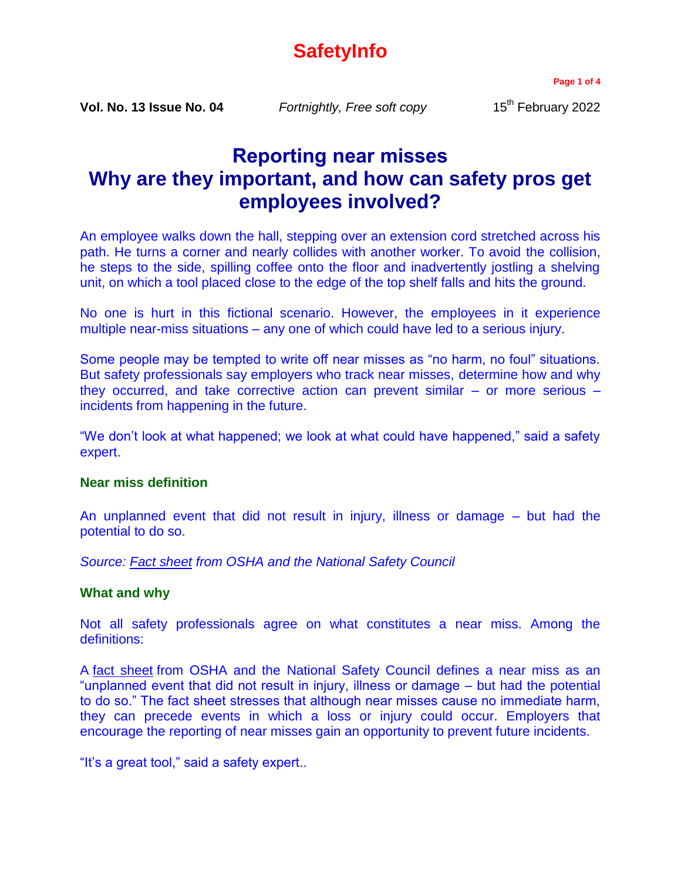# **SafetyInfo**

**Page 1 of 4**

**Vol. No. 13 Issue No. 04** *Fortnightly, Free soft copy* 15<sup>th</sup> February 2022

## **Reporting near misses Why are they important, and how can safety pros get employees involved?**

An employee walks down the hall, stepping over an extension cord stretched across his path. He turns a corner and nearly collides with another worker. To avoid the collision, he steps to the side, spilling coffee onto the floor and inadvertently jostling a shelving unit, on which a tool placed close to the edge of the top shelf falls and hits the ground.

No one is hurt in this fictional scenario. However, the employees in it experience multiple near-miss situations – any one of which could have led to a serious injury.

Some people may be tempted to write off near misses as "no harm, no foul" situations. But safety professionals say employers who track near misses, determine how and why they occurred, and take corrective action can prevent similar – or more serious – incidents from happening in the future.

"We don't look at what happened; we look at what could have happened," said a safety expert.

## **Near miss definition**

An unplanned event that did not result in injury, illness or damage – but had the potential to do so.

*Source: [Fact sheet](http://www.nsc.org/news_resources/Resources/Documents/Near-Miss-Reporting-Systems.pdf) from OSHA and the National Safety Council*

#### **What and why**

Not all safety professionals agree on what constitutes a near miss. Among the definitions:

A [fact sheet](http://www.nsc.org/news_resources/Resources/Documents/Near-Miss-Reporting-Systems.pdf) from OSHA and the National Safety Council defines a near miss as an "unplanned event that did not result in injury, illness or damage – but had the potential to do so." The fact sheet stresses that although near misses cause no immediate harm, they can precede events in which a loss or injury could occur. Employers that encourage the reporting of near misses gain an opportunity to prevent future incidents.

"It's a great tool," said a safety expert..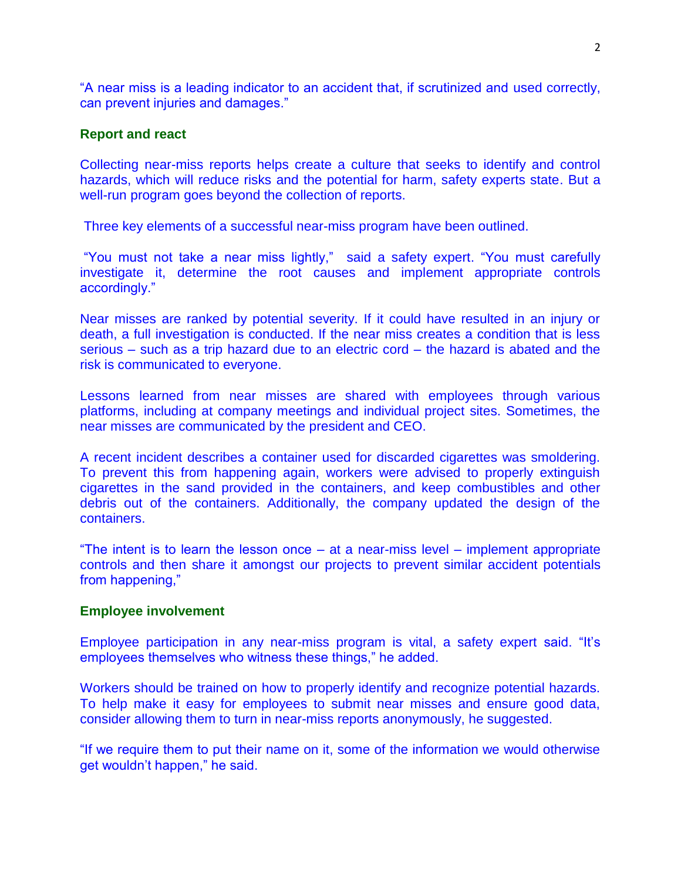"A near miss is a leading indicator to an accident that, if scrutinized and used correctly, can prevent injuries and damages."

## **Report and react**

Collecting near-miss reports helps create a culture that seeks to identify and control hazards, which will reduce risks and the potential for harm, safety experts state. But a well-run program goes beyond the collection of reports.

Three key elements of a successful near-miss program have been outlined.

"You must not take a near miss lightly," said a safety expert. "You must carefully investigate it, determine the root causes and implement appropriate controls accordingly."

Near misses are ranked by potential severity. If it could have resulted in an injury or death, a full investigation is conducted. If the near miss creates a condition that is less serious – such as a trip hazard due to an electric cord – the hazard is abated and the risk is communicated to everyone.

Lessons learned from near misses are shared with employees through various platforms, including at company meetings and individual project sites. Sometimes, the near misses are communicated by the president and CEO.

A recent incident describes a container used for discarded cigarettes was smoldering. To prevent this from happening again, workers were advised to properly extinguish cigarettes in the sand provided in the containers, and keep combustibles and other debris out of the containers. Additionally, the company updated the design of the containers.

"The intent is to learn the lesson once – at a near-miss level – implement appropriate controls and then share it amongst our projects to prevent similar accident potentials from happening,"

## **Employee involvement**

Employee participation in any near-miss program is vital, a safety expert said. "It's employees themselves who witness these things," he added.

Workers should be trained on how to properly identify and recognize potential hazards. To help make it easy for employees to submit near misses and ensure good data, consider allowing them to turn in near-miss reports anonymously, he suggested.

"If we require them to put their name on it, some of the information we would otherwise get wouldn't happen," he said.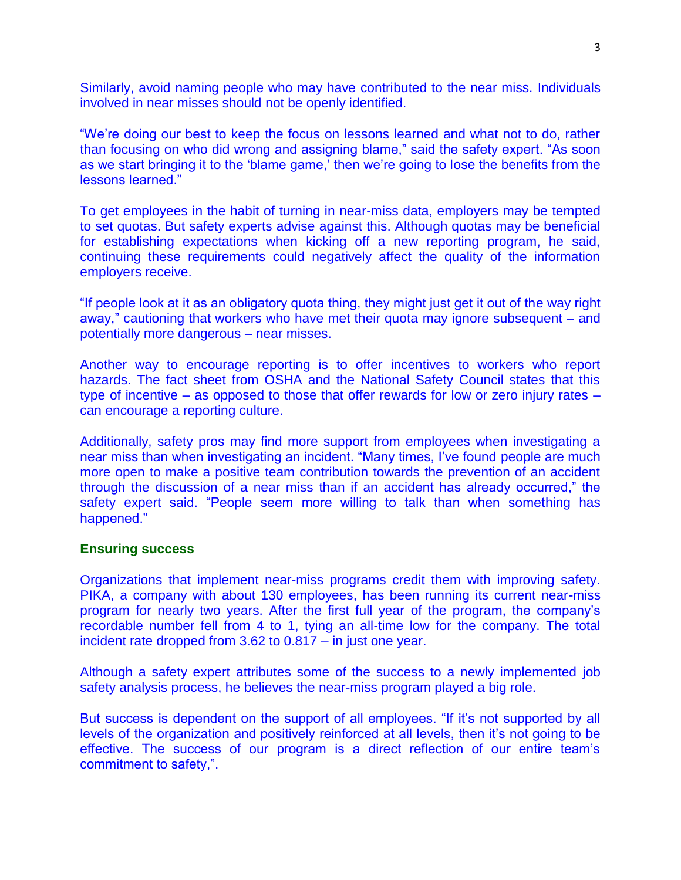Similarly, avoid naming people who may have contributed to the near miss. Individuals involved in near misses should not be openly identified.

"We're doing our best to keep the focus on lessons learned and what not to do, rather than focusing on who did wrong and assigning blame," said the safety expert. "As soon as we start bringing it to the 'blame game,' then we're going to lose the benefits from the lessons learned."

To get employees in the habit of turning in near-miss data, employers may be tempted to set quotas. But safety experts advise against this. Although quotas may be beneficial for establishing expectations when kicking off a new reporting program, he said, continuing these requirements could negatively affect the quality of the information employers receive.

"If people look at it as an obligatory quota thing, they might just get it out of the way right away," cautioning that workers who have met their quota may ignore subsequent – and potentially more dangerous – near misses.

Another way to encourage reporting is to offer incentives to workers who report hazards. The fact sheet from OSHA and the National Safety Council states that this type of incentive – as opposed to those that offer rewards for low or zero injury rates – can encourage a reporting culture.

Additionally, safety pros may find more support from employees when investigating a near miss than when investigating an incident. "Many times, I've found people are much more open to make a positive team contribution towards the prevention of an accident through the discussion of a near miss than if an accident has already occurred," the safety expert said. "People seem more willing to talk than when something has happened."

#### **Ensuring success**

Organizations that implement near-miss programs credit them with improving safety. PIKA, a company with about 130 employees, has been running its current near-miss program for nearly two years. After the first full year of the program, the company's recordable number fell from 4 to 1, tying an all-time low for the company. The total incident rate dropped from 3.62 to 0.817 – in just one year.

Although a safety expert attributes some of the success to a newly implemented job safety analysis process, he believes the near-miss program played a big role.

But success is dependent on the support of all employees. "If it's not supported by all levels of the organization and positively reinforced at all levels, then it's not going to be effective. The success of our program is a direct reflection of our entire team's commitment to safety,".